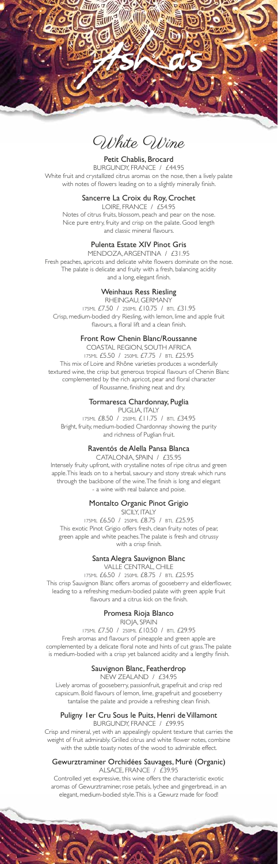

White Wine

## Petit Chablis, Brocard

BURGUNDY, FRANCE / £44.95 White fruit and crystallized citrus aromas on the nose, then a lively palate with notes of flowers leading on to a slightly minerally finish.

## Sancerre La Croix du Roy, Crochet

LOIRE, FRANCE / £54.95 Notes of citrus fruits, blossom, peach and pear on the nose. Nice pure entry, fruity and crisp on the palate. Good length and classic mineral flavours.

## Pulenta Estate XIV Pinot Gris

MENDOZA, ARGENTINA / £31.95 Fresh peaches, apricots and delicate white flowers dominate on the nose. The palate is delicate and fruity with a fresh, balancing acidity and a long, elegant finish.

## Weinhaus Ress Riesling

RHEINGAU, GERMANY 175ML £7.50 / 250ML £10.75 / BTL £31.95 Crisp, medium-bodied dry Riesling, with lemon, lime and apple fruit flavours, a floral lift and a clean finish.

#### Front Row Chenin Blanc/Roussanne

COASTAL REGION, SOUTH AFRICA 175ML £5.50 / 250ML £7.75 / BTL £25.95 This mix of Loire and Rhône varieties produces a wonderfully textured wine, the crisp but generous tropical flavours of Chenin Blanc complemented by the rich apricot, pear and floral character of Roussanne, finishing neat and dry.

## Tormaresca Chardonnay, Puglia

PUGLIA, ITALY 175ML £8.50 / 250ML £11.75 / BTL £34.95 Bright, fruity, medium-bodied Chardonnay showing the purity and richness of Puglian fruit.

## Raventós de Alella Pansa Blanca

CATALONIA, SPAIN / £35.95 Intensely fruity upfront, with crystalline notes of ripe citrus and green apple. This leads on to a herbal, savoury and stony streak which runs through the backbone of the wine. The finish is long and elegant - a wine with real balance and poise.

## Montalto Organic Pinot Grigio

#### SICILY, ITALY

175ML £6.50 / 250ML £8.75 / BTL £25.95 This exotic Pinot Grigio offers fresh, clean fruity notes of pear, green apple and white peaches. The palate is fresh and citrussy with a crisp finish.

## Santa Alegra Sauvignon Blanc

VALLE CENTRAL, CHILE 175ML £6.50 / 250ML £8.75 / BTL £25.95 This crisp Sauvignon Blanc offers aromas of gooseberry and elderflower, leading to a refreshing medium-bodied palate with green apple fruit flavours and a citrus kick on the finish.

## Promesa Rioja Blanco

RIOJA, SPAIN 175ML £7.50 / 250ML £10.50 / BTL £29.95 Fresh aromas and flavours of pineapple and green apple are complemented by a delicate floral note and hints of cut grass. The palate

is medium-bodied with a crisp yet balanced acidity and a lengthy finish.

# Sauvignon Blanc, Featherdrop

NEW ZEALAND / £34.95

Lively aromas of gooseberry, passionfruit, grapefruit and crisp red capsicum. Bold flavours of lemon, lime, grapefruit and gooseberry tantalise the palate and provide a refreshing clean finish.

# Puligny 1er Cru Sous le Puits, Henri de Villamont

BURGUNDY, FRANCE / £99.95

Crisp and mineral, yet with an appealingly opulent texture that carries the weight of fruit admirably. Grilled citrus and white flower notes, combine with the subtle toasty notes of the wood to admirable effect.

#### Gewurztraminer Orchidées Sauvages, Muré (Organic) ALSACE, FRANCE / £39.95

Controlled yet expressive, this wine offers the characteristic exotic aromas of Gewurztraminer, rose petals, lychee and gingerbread, in an elegant, medium-bodied style. This is a Gewurz made for food!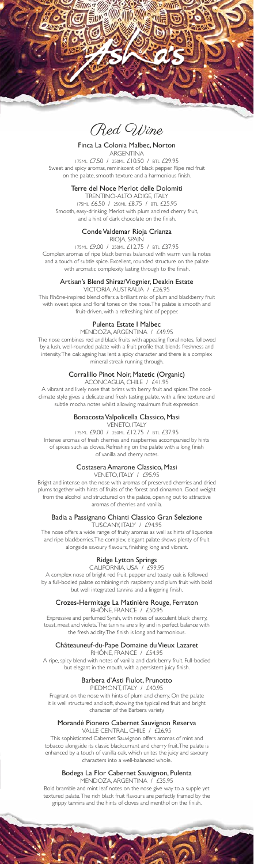

Red Wine

Finca La Colonia Malbec, Norton ARGENTINA 175ML £7.50 / 250ML £10.50 / BTL £29.95 Sweet and spicy aromas, reminiscent of black pepper. Ripe red fruit on the palate, smooth texture and a harmonious finish.

## Terre del Noce Merlot delle Dolomiti

TRENTINO-ALTO ADIGE, ITALY 175ML £6.50 / 250ML £8.75 / BTL £25.95 Smooth, easy-drinking Merlot with plum and red cherry fruit, and a hint of dark chocolate on the finish.

## Conde Valdemar Rioja Crianza

RIOJA, SPAIN

175ML £9.00 / 250ML £12.75 / BTL £37.95 Complex aromas of ripe black berries balanced with warm vanilla notes and a touch of subtle spice. Excellent, rounded structure on the palate with aromatic complexity lasting through to the finish.

## Artisan's Blend Shiraz/Viognier, Deakin Estate

VICTORIA, AUSTRALIA / £26.95

This Rhône-inspired blend offers a brilliant mix of plum and blackberry fruit with sweet spice and floral tones on the nose. The palate is smooth and fruit-driven, with a refreshing hint of pepper.

## Pulenta Estate I Malbec

MENDOZA, ARGENTINA / £49.95 The nose combines red and black fruits with appealing floral notes, followed by a lush, well-rounded palate with a fruit profile that blends freshness and intensity. The oak ageing has lent a spicy character and there is a complex mineral streak running through.

## Corralillo Pinot Noir, Matetic (Organic)

ACONCAGUA, CHILE / £41.95

A vibrant and lively nose that brims with berry fruit and spices. The coolclimate style gives a delicate and fresh tasting palate, with a fine texture and subtle mocha notes whilst allowing maximum fruit expression.

## Bonacosta Valpolicella Classico, Masi

VENETO, ITALY

175ML £9.00 / 250ML £12.75 / BTL £37.95 Intense aromas of fresh cherries and raspberries accompanied by hints of spices such as cloves. Refreshing on the palate with a long finish of vanilla and cherry notes.

## Costasera Amarone Classico, Masi

VENETO, ITALY / £95.95

Bright and intense on the nose with aromas of preserved cherries and dried plums together with hints of fruits of the forest and cinnamon. Good weight from the alcohol and structured on the palate, opening out to attractive aromas of cherries and vanilla.

## Badia a Passignano Chianti Classico Gran Selezione

TUSCANY, ITALY / £94.95

The nose offers a wide range of fruity aromas as well as hints of liquorice and ripe blackberries. The complex, elegant palate shows plenty of fruit alongside savoury flavours, finishing long and vibrant.

# Ridge Lytton Springs

CALIFORNIA, USA / £99.95

A complex nose of bright red fruit, pepper and toasty oak is followed by a full-bodied palate combining rich raspberry and plum fruit with bold but well integrated tannins and a lingering finish.

#### Crozes-Hermitage La Matinière Rouge, Ferraton RHÔNE, FRANCE / £50.95

Expressive and perfumed Syrah, with notes of succulent black cherry, toast, meat and violets. The tannins are silky and in perfect balance with the fresh acidity. The finish is long and harmonious.

## Châteauneuf-du-Pape Domaine du Vieux Lazaret

RHÔNE, FRANCE / £54.95 A ripe, spicy blend with notes of vanilla and dark berry fruit. Full-bodied but elegant in the mouth, with a persistent juicy finish.

# Barbera d'Asti Fiulot, Prunotto

PIEDMONT, ITALY / £40.95

Fragrant on the nose with hints of plum and cherry. On the palate it is well structured and soft, showing the typical red fruit and bright character of the Barbera variety.

# Morandé Pionero Cabernet Sauvignon Reserva

VALLE CENTRAL, CHILE / £26.95

This sophisticated Cabernet Sauvignon offers aromas of mint and tobacco alongside its classic blackcurrant and cherry fruit. The palate is enhanced by a touch of vanilla oak, which unites the juicy and savoury characters into a well-balanced whole.

#### Bodega La Flor Cabernet Sauvignon, Pulenta MENDOZA, ARGENTINA / £35.95

Bold bramble and mint leaf notes on the nose give way to a supple yet textured palate. The rich black fruit flavours are perfectly framed by the grippy tannins and the hints of cloves and menthol on the finish.